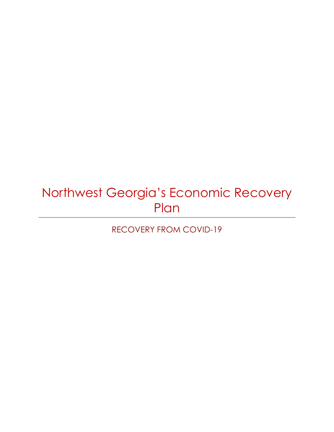# Northwest Georgia's Economic Recovery Plan

RECOVERY FROM COVID-19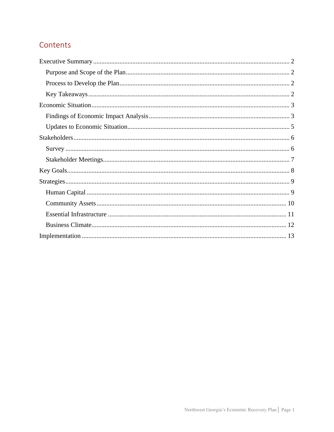## Contents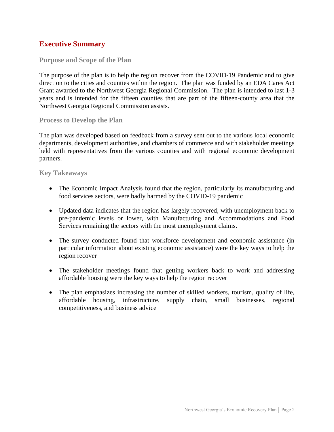## <span id="page-2-0"></span>**Executive Summary**

#### <span id="page-2-1"></span>**Purpose and Scope of the Plan**

The purpose of the plan is to help the region recover from the COVID-19 Pandemic and to give direction to the cities and counties within the region. The plan was funded by an EDA Cares Act Grant awarded to the Northwest Georgia Regional Commission. The plan is intended to last 1-3 years and is intended for the fifteen counties that are part of the fifteen-county area that the Northwest Georgia Regional Commission assists.

#### <span id="page-2-2"></span>**Process to Develop the Plan**

The plan was developed based on feedback from a survey sent out to the various local economic departments, development authorities, and chambers of commerce and with stakeholder meetings held with representatives from the various counties and with regional economic development partners.

#### <span id="page-2-3"></span>**Key Takeaways**

- The Economic Impact Analysis found that the region, particularly its manufacturing and food services sectors, were badly harmed by the COVID-19 pandemic
- Updated data indicates that the region has largely recovered, with unemployment back to pre-pandemic levels or lower, with Manufacturing and Accommodations and Food Services remaining the sectors with the most unemployment claims.
- The survey conducted found that workforce development and economic assistance (in particular information about existing economic assistance) were the key ways to help the region recover
- The stakeholder meetings found that getting workers back to work and addressing affordable housing were the key ways to help the region recover
- The plan emphasizes increasing the number of skilled workers, tourism, quality of life, affordable housing, infrastructure, supply chain, small businesses, regional competitiveness, and business advice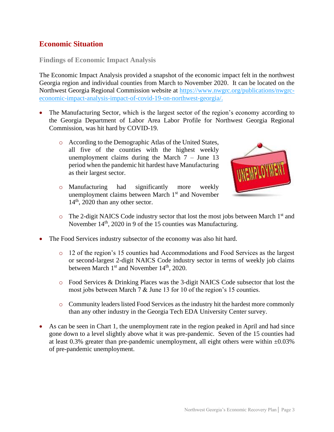## <span id="page-3-0"></span>**Economic Situation**

<span id="page-3-1"></span>**Findings of Economic Impact Analysis**

The Economic Impact Analysis provided a snapshot of the economic impact felt in the northwest Georgia region and individual counties from March to November 2020. It can be located on the Northwest Georgia Regional Commission website at [https://www.nwgrc.org/publications/nwgrc](https://www.nwgrc.org/publications/nwgrc-economic-impact-analysis-impact-of-covid-19-on-northwest-georgia/)[economic-impact-analysis-impact-of-covid-19-on-northwest-georgia/.](https://www.nwgrc.org/publications/nwgrc-economic-impact-analysis-impact-of-covid-19-on-northwest-georgia/)

- The Manufacturing Sector, which is the largest sector of the region's economy according to the Georgia Department of Labor Area Labor Profile for Northwest Georgia Regional Commission, was hit hard by COVID-19.
	- o According to the Demographic Atlas of the United States, all five of the counties with the highest weekly unemployment claims during the March  $7 -$  June 13 period when the pandemic hit hardest have Manufacturing as their largest sector.
	- o Manufacturing had significantly more weekly unemployment claims between March 1<sup>st</sup> and November 14<sup>th</sup>, 2020 than any other sector.



- $\circ$  The 2-digit NAICS Code industry sector that lost the most jobs between March 1<sup>st</sup> and November 14<sup>th</sup>, 2020 in 9 of the 15 counties was Manufacturing.
- The Food Services industry subsector of the economy was also hit hard.
	- o 12 of the region's 15 counties had Accommodations and Food Services as the largest or second-largest 2-digit NAICS Code industry sector in terms of weekly job claims between March  $1<sup>st</sup>$  and November  $14<sup>th</sup>$ , 2020.
	- o Food Services & Drinking Places was the 3-digit NAICS Code subsector that lost the most jobs between March 7 & June 13 for 10 of the region's 15 counties.
	- o Community leaders listed Food Services as the industry hit the hardest more commonly than any other industry in the Georgia Tech EDA University Center survey.
- As can be seen in Chart 1, the unemployment rate in the region peaked in April and had since gone down to a level slightly above what it was pre-pandemic. Seven of the 15 counties had at least 0.3% greater than pre-pandemic unemployment, all eight others were within  $\pm 0.03\%$ of pre-pandemic unemployment.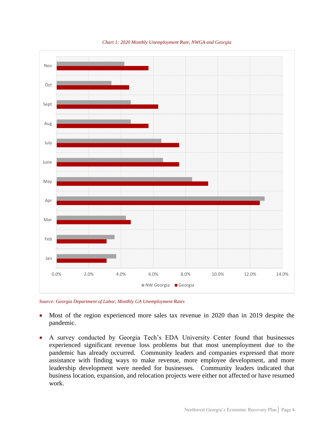

*Chart 1: 2020 Monthly Unemployment Rate, NWGA and Georgia*

*Source: Georgia Department of Labor, Monthly GA Unemployment Rates*

- Most of the region experienced more sales tax revenue in 2020 than in 2019 despite the pandemic.
- A survey conducted by Georgia Tech's EDA University Center found that businesses experienced significant revenue loss problems but that most unemployment due to the pandemic has already occurred. Community leaders and companies expressed that more assistance with finding ways to make revenue, more employee development, and more leadership development were needed for businesses. Community leaders indicated that business location, expansion, and relocation projects were either not affected or have resumed work.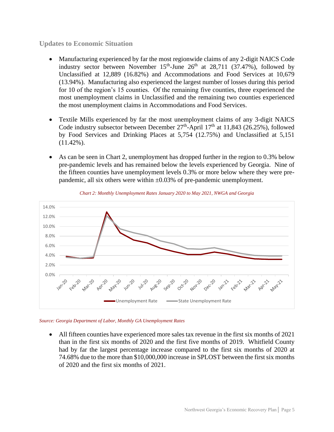#### <span id="page-5-0"></span>**Updates to Economic Situation**

- Manufacturing experienced by far the most regionwide claims of any 2-digit NAICS Code industry sector between November  $15<sup>th</sup>$ -June  $26<sup>th</sup>$  at  $28,711$  (37.47%), followed by Unclassified at 12,889 (16.82%) and Accommodations and Food Services at 10,679 (13.94%). Manufacturing also experienced the largest number of losses during this period for 10 of the region's 15 counties. Of the remaining five counties, three experienced the most unemployment claims in Unclassified and the remaining two counties experienced the most unemployment claims in Accommodations and Food Services.
- Textile Mills experienced by far the most unemployment claims of any 3-digit NAICS Code industry subsector between December  $27<sup>th</sup>$ -April  $17<sup>th</sup>$  at 11,843 (26.25%), followed by Food Services and Drinking Places at 5,754 (12.75%) and Unclassified at 5,151  $(11.42\%)$ .
- As can be seen in Chart 2, unemployment has dropped further in the region to 0.3% below pre-pandemic levels and has remained below the levels experienced by Georgia. Nine of the fifteen counties have unemployment levels 0.3% or more below where they were prepandemic, all six others were within  $\pm 0.03\%$  of pre-pandemic unemployment.





*Source: Georgia Department of Labor, Monthly GA Unemployment Rates*

• All fifteen counties have experienced more sales tax revenue in the first six months of 2021 than in the first six months of 2020 and the first five months of 2019. Whitfield County had by far the largest percentage increase compared to the first six months of 2020 at 74.68% due to the more than \$10,000,000 increase in SPLOST between the first six months of 2020 and the first six months of 2021.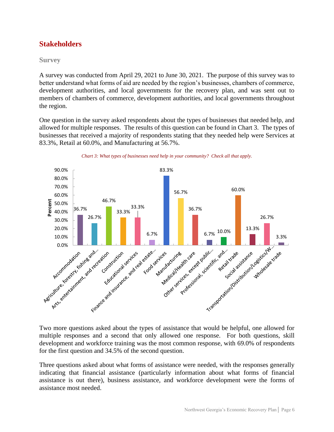## <span id="page-6-0"></span>**Stakeholders**

#### <span id="page-6-1"></span>**Survey**

A survey was conducted from April 29, 2021 to June 30, 2021. The purpose of this survey was to better understand what forms of aid are needed by the region's businesses, chambers of commerce, development authorities, and local governments for the recovery plan, and was sent out to members of chambers of commerce, development authorities, and local governments throughout the region.

One question in the survey asked respondents about the types of businesses that needed help, and allowed for multiple responses. The results of this question can be found in Chart 3. The types of businesses that received a majority of respondents stating that they needed help were Services at 83.3%, Retail at 60.0%, and Manufacturing at 56.7%.





Two more questions asked about the types of assistance that would be helpful, one allowed for multiple responses and a second that only allowed one response. For both questions, skill development and workforce training was the most common response, with 69.0% of respondents for the first question and 34.5% of the second question.

Three questions asked about what forms of assistance were needed, with the responses generally indicating that financial assistance (particularly information about what forms of financial assistance is out there), business assistance, and workforce development were the forms of assistance most needed.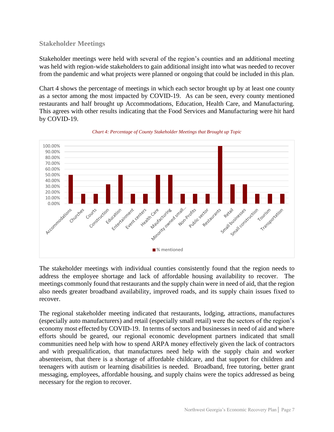#### <span id="page-7-0"></span>**Stakeholder Meetings**

Stakeholder meetings were held with several of the region's counties and an additional meeting was held with region-wide stakeholders to gain additional insight into what was needed to recover from the pandemic and what projects were planned or ongoing that could be included in this plan.

Chart 4 shows the percentage of meetings in which each sector brought up by at least one county as a sector among the most impacted by COVID-19. As can be seen, every county mentioned restaurants and half brought up Accommodations, Education, Health Care, and Manufacturing. This agrees with other results indicating that the Food Services and Manufacturing were hit hard by COVID-19.



*Chart 4: Percentage of County Stakeholder Meetings that Brought up Topic*

The stakeholder meetings with individual counties consistently found that the region needs to address the employee shortage and lack of affordable housing availability to recover. The meetings commonly found that restaurants and the supply chain were in need of aid, that the region also needs greater broadband availability, improved roads, and its supply chain issues fixed to recover.

The regional stakeholder meeting indicated that restaurants, lodging, attractions, manufactures (especially auto manufacturers) and retail (especially small retail) were the sectors of the region's economy most effected by COVID-19. In terms of sectors and businesses in need of aid and where efforts should be geared, our regional economic development partners indicated that small communities need help with how to spend ARPA money effectively given the lack of contractors and with prequalification, that manufactures need help with the supply chain and worker absenteeism, that there is a shortage of affordable childcare, and that support for children and teenagers with autism or learning disabilities is needed. Broadband, free tutoring, better grant messaging, employees, affordable housing, and supply chains were the topics addressed as being necessary for the region to recover.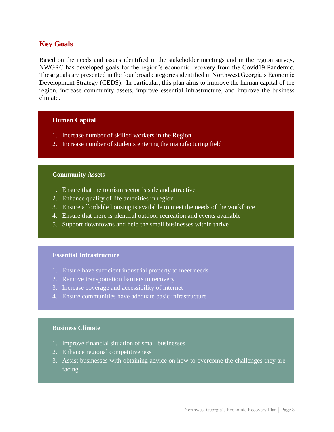## <span id="page-8-0"></span>**Key Goals**

Based on the needs and issues identified in the stakeholder meetings and in the region survey, NWGRC has developed goals for the region's economic recovery from the Covid19 Pandemic. These goals are presented in the four broad categories identified in Northwest Georgia's Economic Development Strategy (CEDS). In particular, this plan aims to improve the human capital of the region, increase community assets, improve essential infrastructure, and improve the business climate.

#### **Human Capital**

- 1. Increase number of skilled workers in the Region
- 2. Increase number of students entering the manufacturing field

#### **Community Assets**

- 1. Ensure that the tourism sector is safe and attractive
- 2. Enhance quality of life amenities in region
- 3. Ensure affordable housing is available to meet the needs of the workforce
- 4. Ensure that there is plentiful outdoor recreation and events available
- 5. Support downtowns and help the small businesses within thrive

#### **Essential Infrastructure**

- 1. Ensure have sufficient industrial property to meet needs
- 2. Remove transportation barriers to recovery
- 3. Increase coverage and accessibility of internet
- 4. Ensure communities have adequate basic infrastructure

#### **Business Climate**

- 1. Improve financial situation of small businesses
- 2. Enhance regional competitiveness
- 3. Assist businesses with obtaining advice on how to overcome the challenges they are facing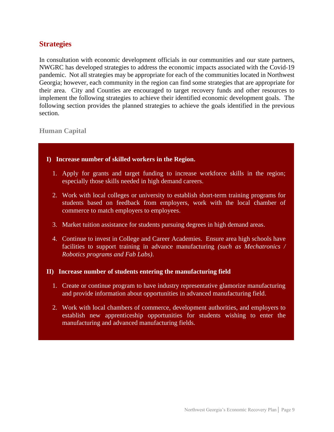## <span id="page-9-0"></span>**Strategies**

In consultation with economic development officials in our communities and our state partners, NWGRC has developed strategies to address the economic impacts associated with the Covid-19 pandemic. Not all strategies may be appropriate for each of the communities located in Northwest Georgia; however, each community in the region can find some strategies that are appropriate for their area. City and Counties are encouraged to target recovery funds and other resources to implement the following strategies to achieve their identified economic development goals. The following section provides the planned strategies to achieve the goals identified in the previous section.

#### <span id="page-9-1"></span>**Human Capital**

#### **I) Increase number of skilled workers in the Region.**

- 1. Apply for grants and target funding to increase workforce skills in the region; especially those skills needed in high demand careers.
- 2. Work with local colleges or university to establish short-term training programs for students based on feedback from employers, work with the local chamber of commerce to match employers to employees.
- 3. Market tuition assistance for students pursuing degrees in high demand areas.
- 4. Continue to invest in College and Career Academies. Ensure area high schools have facilities to support training in advance manufacturing *(such as Mechatronics / Robotics programs and Fab Labs)*.

#### **II) Increase number of students entering the manufacturing field**

- 1. Create or continue program to have industry representative glamorize manufacturing and provide information about opportunities in advanced manufacturing field.
- 2. Work with local chambers of commerce, development authorities, and employers to establish new apprenticeship opportunities for students wishing to enter the manufacturing and advanced manufacturing fields.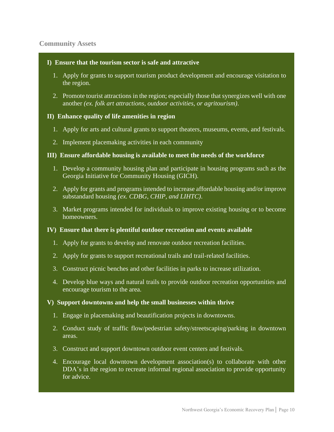#### <span id="page-10-0"></span>**Community Assets**

#### **I) Ensure that the tourism sector is safe and attractive**

- 1. Apply for grants to support tourism product development and encourage visitation to the region.
- 2. Promote tourist attractions in the region; especially those that synergizes well with one another *(ex. folk art attractions, outdoor activities, or agritourism)*.

#### **II) Enhance quality of life amenities in region**

- 1. Apply for arts and cultural grants to support theaters, museums, events, and festivals.
- 2. Implement placemaking activities in each community

#### **III) Ensure affordable housing is available to meet the needs of the workforce**

- 1. Develop a community housing plan and participate in housing programs such as the Georgia Initiative for Community Housing (GICH).
- 2. Apply for grants and programs intended to increase affordable housing and/or improve substandard housing *(ex. CDBG, CHIP, and LIHTC)*.
- 3. Market programs intended for individuals to improve existing housing or to become homeowners.

#### **IV) Ensure that there is plentiful outdoor recreation and events available**

- 1. Apply for grants to develop and renovate outdoor recreation facilities.
- 2. Apply for grants to support recreational trails and trail-related facilities.
- 3. Construct picnic benches and other facilities in parks to increase utilization.
- 4. Develop blue ways and natural trails to provide outdoor recreation opportunities and encourage tourism to the area.

#### **V) Support downtowns and help the small businesses within thrive**

- 1. Engage in placemaking and beautification projects in downtowns.
- 2. Conduct study of traffic flow/pedestrian safety/streetscaping/parking in downtown areas.
- 3. Construct and support downtown outdoor event centers and festivals.
- 4. Encourage local downtown development association(s) to collaborate with other DDA's in the region to recreate informal regional association to provide opportunity for advice.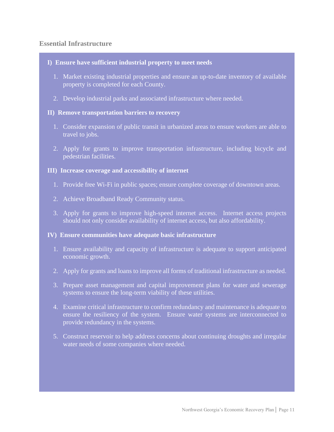#### <span id="page-11-0"></span>**Essential Infrastructure**

#### **I) Ensure have sufficient industrial property to meet needs**

- 1. Market existing industrial properties and ensure an up-to-date inventory of available property is completed for each County.
- 2. Develop industrial parks and associated infrastructure where needed.

#### **II) Remove transportation barriers to recovery**

- 1. Consider expansion of public transit in urbanized areas to ensure workers are able to travel to jobs.
- 2. Apply for grants to improve transportation infrastructure, including bicycle and pedestrian facilities.

#### **III) Increase coverage and accessibility of internet**

- 1. Provide free Wi-Fi in public spaces; ensure complete coverage of downtown areas.
- 2. Achieve Broadband Ready Community status.
- 3. Apply for grants to improve high-speed internet access. Internet access projects should not only consider availability of internet access, but also affordability.

#### **IV) Ensure communities have adequate basic infrastructure**

- 1. Ensure availability and capacity of infrastructure is adequate to support anticipated economic growth.
- 2. Apply for grants and loans to improve all forms of traditional infrastructure as needed.
- 3. Prepare asset management and capital improvement plans for water and sewerage systems to ensure the long-term viability of these utilities.
- 4. Examine critical infrastructure to confirm redundancy and maintenance is adequate to ensure the resiliency of the system. Ensure water systems are interconnected to provide redundancy in the systems.
- 5. Construct reservoir to help address concerns about continuing droughts and irregular water needs of some companies where needed.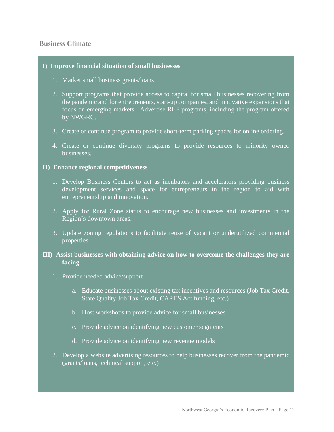#### <span id="page-12-0"></span>**Business Climate**

#### **I) Improve financial situation of small businesses**

- 1. Market small business grants/loans.
- 2. Support programs that provide access to capital for small businesses recovering from the pandemic and for entrepreneurs, start-up companies, and innovative expansions that focus on emerging markets. Advertise RLF programs, including the program offered by NWGRC.
- 3. Create or continue program to provide short-term parking spaces for online ordering.
- 4. Create or continue diversity programs to provide resources to minority owned businesses.

#### **II) Enhance regional competitiveness**

- 1. Develop Business Centers to act as incubators and accelerators providing business development services and space for entrepreneurs in the region to aid with entrepreneurship and innovation.
- 2. Apply for Rural Zone status to encourage new businesses and investments in the Region's downtown areas.
- 3. Update zoning regulations to facilitate reuse of vacant or underutilized commercial properties

#### **III) Assist businesses with obtaining advice on how to overcome the challenges they are facing**

- 1. Provide needed advice/support
	- a. Educate businesses about existing tax incentives and resources (Job Tax Credit, State Quality Job Tax Credit, CARES Act funding, etc.)
	- b. Host workshops to provide advice for small businesses
	- c. Provide advice on identifying new customer segments
	- d. Provide advice on identifying new revenue models
- 2. Develop a website advertising resources to help businesses recover from the pandemic (grants/loans, technical support, etc.)